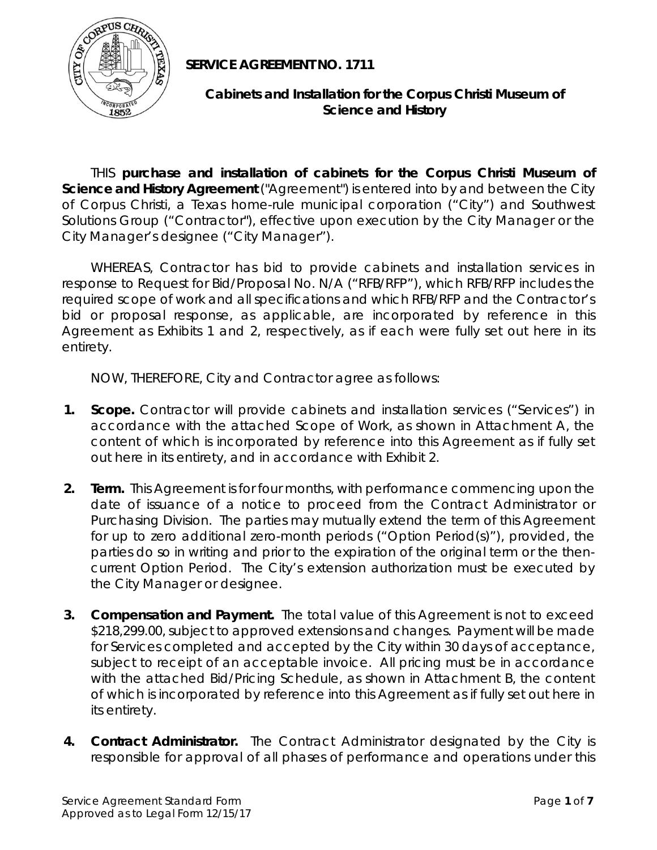

**SERVICE AGREEMENT NO. 1711** 

## **Cabinets and Installation for the Corpus Christi Museum of Science and History**

THIS **purchase and installation of cabinets for the Corpus Christi Museum of Science and History Agreement** ("Agreement") is entered into by and between the City of Corpus Christi, a Texas home-rule municipal corporation ("City") and Southwest Solutions Group ("Contractor"), effective upon execution by the City Manager or the City Manager's designee ("City Manager").

 WHEREAS, Contractor has bid to provide cabinets and installation services in response to Request for Bid/Proposal No. N/A ("RFB/RFP"), which RFB/RFP includes the required scope of work and all specifications and which RFB/RFP and the Contractor's bid or proposal response, as applicable, are incorporated by reference in this Agreement as Exhibits 1 and 2, respectively, as if each were fully set out here in its entirety.

NOW, THEREFORE, City and Contractor agree as follows:

- **1. Scope.** Contractor will provide cabinets and installation services ("Services") in accordance with the attached Scope of Work, as shown in Attachment A, the content of which is incorporated by reference into this Agreement as if fully set out here in its entirety, and in accordance with Exhibit 2.
- **2. Term.** This Agreement is for four months, with performance commencing upon the date of issuance of a notice to proceed from the Contract Administrator or Purchasing Division. The parties may mutually extend the term of this Agreement for up to zero additional zero-month periods ("Option Period(s)"), provided, the parties do so in writing and prior to the expiration of the original term or the thencurrent Option Period. The City's extension authorization must be executed by the City Manager or designee.
- **3. Compensation and Payment.** The total value of this Agreement is not to exceed \$218,299.00, subject to approved extensions and changes. Payment will be made for Services completed and accepted by the City within 30 days of acceptance, subject to receipt of an acceptable invoice. All pricing must be in accordance with the attached Bid/Pricing Schedule, as shown in Attachment B, the content of which is incorporated by reference into this Agreement as if fully set out here in its entirety.
- **4. Contract Administrator.** The Contract Administrator designated by the City is responsible for approval of all phases of performance and operations under this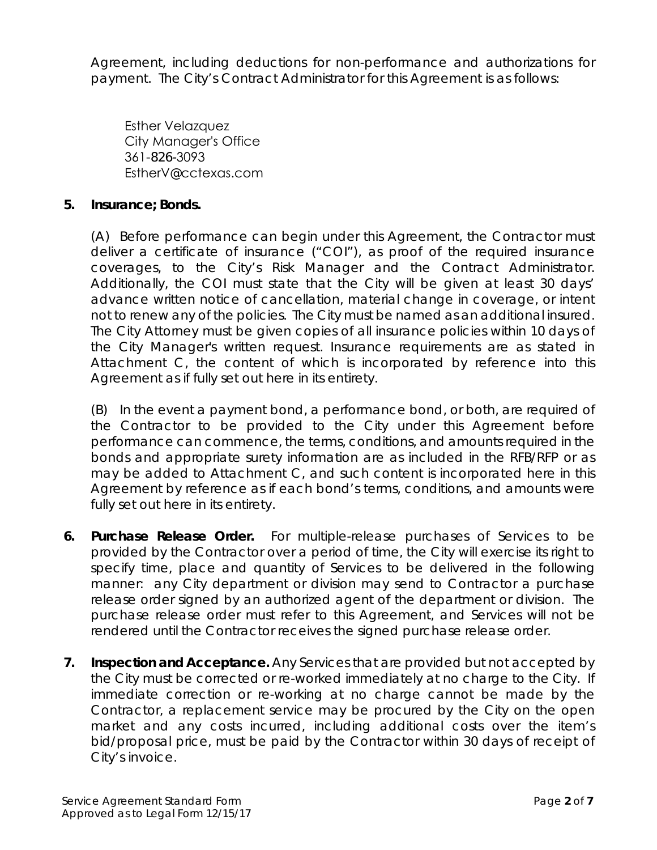Agreement, including deductions for non-performance and authorizations for payment. The City's Contract Administrator for this Agreement is as follows:

Esther Velazquez City Manager's Office 361-826-3093 EstherV@cctexas.com

### **5. Insurance; Bonds.**

(A) Before performance can begin under this Agreement, the Contractor must deliver a certificate of insurance ("COI"), as proof of the required insurance coverages, to the City's Risk Manager and the Contract Administrator. Additionally, the COI must state that the City will be given at least 30 days' advance written notice of cancellation, material change in coverage, or intent not to renew any of the policies. The City must be named as an additional insured. The City Attorney must be given copies of all insurance policies within 10 days of the City Manager's written request. Insurance requirements are as stated in Attachment C, the content of which is incorporated by reference into this Agreement as if fully set out here in its entirety.

(B) In the event a payment bond, a performance bond, or both, are required of the Contractor to be provided to the City under this Agreement before performance can commence, the terms, conditions, and amounts required in the bonds and appropriate surety information are as included in the RFB/RFP or as may be added to Attachment C, and such content is incorporated here in this Agreement by reference as if each bond's terms, conditions, and amounts were fully set out here in its entirety.

- **6. Purchase Release Order.** For multiple-release purchases of Services to be provided by the Contractor over a period of time, the City will exercise its right to specify time, place and quantity of Services to be delivered in the following manner: any City department or division may send to Contractor a purchase release order signed by an authorized agent of the department or division. The purchase release order must refer to this Agreement, and Services will not be rendered until the Contractor receives the signed purchase release order.
- **7. Inspection and Acceptance.** Any Services that are provided but not accepted by the City must be corrected or re-worked immediately at no charge to the City. If immediate correction or re-working at no charge cannot be made by the Contractor, a replacement service may be procured by the City on the open market and any costs incurred, including additional costs over the item's bid/proposal price, must be paid by the Contractor within 30 days of receipt of City's invoice.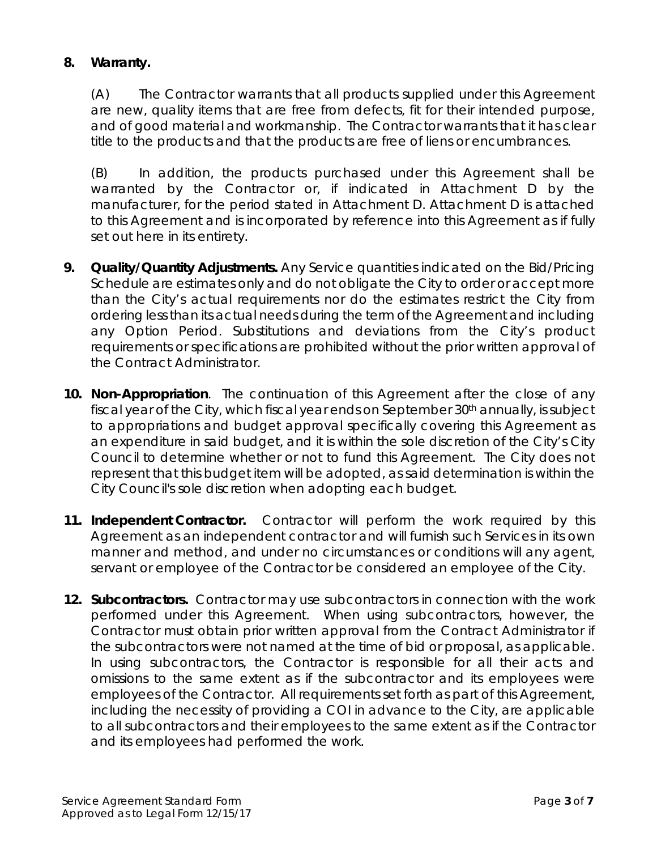## **8. Warranty.**

(A) The Contractor warrants that all products supplied under this Agreement are new, quality items that are free from defects, fit for their intended purpose, and of good material and workmanship. The Contractor warrants that it has clear title to the products and that the products are free of liens or encumbrances.

(B) In addition, the products purchased under this Agreement shall be warranted by the Contractor or, if indicated in Attachment D by the manufacturer, for the period stated in Attachment D. Attachment D is attached to this Agreement and is incorporated by reference into this Agreement as if fully set out here in its entirety.

- **9. Quality/Quantity Adjustments.** Any Service quantities indicated on the Bid/Pricing Schedule are estimates only and do not obligate the City to order or accept more than the City's actual requirements nor do the estimates restrict the City from ordering less than its actual needs during the term of the Agreement and including any Option Period. Substitutions and deviations from the City's product requirements or specifications are prohibited without the prior written approval of the Contract Administrator.
- **10. Non-Appropriation**. The continuation of this Agreement after the close of any fiscal year of the City, which fiscal year ends on September 30<sup>th</sup> annually, is subject to appropriations and budget approval specifically covering this Agreement as an expenditure in said budget, and it is within the sole discretion of the City's City Council to determine whether or not to fund this Agreement. The City does not represent that this budget item will be adopted, as said determination is within the City Council's sole discretion when adopting each budget.
- **11. Independent Contractor.** Contractor will perform the work required by this Agreement as an independent contractor and will furnish such Services in its own manner and method, and under no circumstances or conditions will any agent, servant or employee of the Contractor be considered an employee of the City.
- **12. Subcontractors.** Contractor may use subcontractors in connection with the work performed under this Agreement. When using subcontractors, however, the Contractor must obtain prior written approval from the Contract Administrator if the subcontractors were not named at the time of bid or proposal, as applicable. In using subcontractors, the Contractor is responsible for all their acts and omissions to the same extent as if the subcontractor and its employees were employees of the Contractor. All requirements set forth as part of this Agreement, including the necessity of providing a COI in advance to the City, are applicable to all subcontractors and their employees to the same extent as if the Contractor and its employees had performed the work.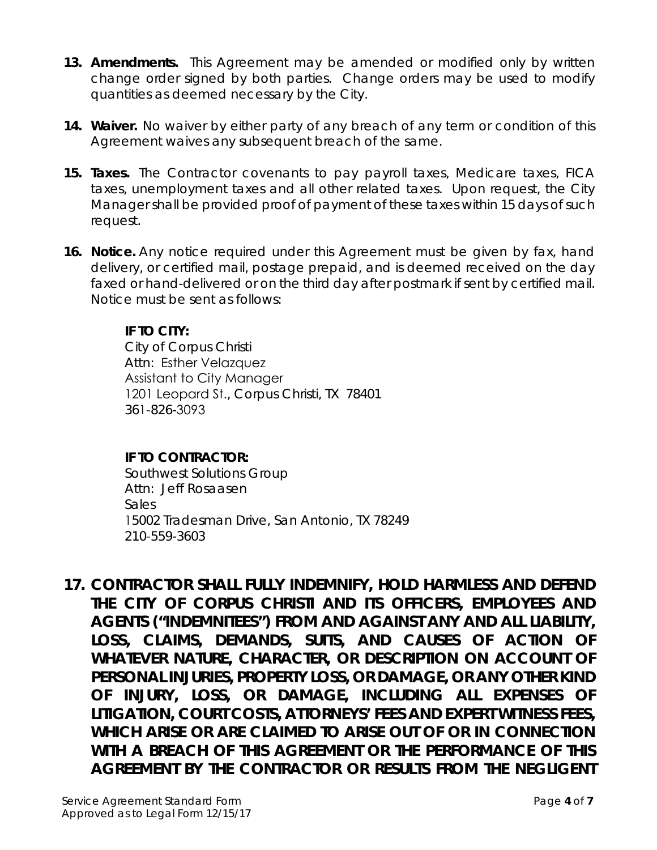- **13. Amendments.** This Agreement may be amended or modified only by written change order signed by both parties. Change orders may be used to modify quantities as deemed necessary by the City.
- **14. Waiver.** No waiver by either party of any breach of any term or condition of this Agreement waives any subsequent breach of the same.
- **15. Taxes.** The Contractor covenants to pay payroll taxes, Medicare taxes, FICA taxes, unemployment taxes and all other related taxes. Upon request, the City Manager shall be provided proof of payment of these taxes within 15 days of such request.
- **16. Notice.** Any notice required under this Agreement must be given by fax, hand delivery, or certified mail, postage prepaid, and is deemed received on the day faxed or hand-delivered or on the third day after postmark if sent by certified mail. Notice must be sent as follows:

## **IF TO CITY:**

City of Corpus Christi Attn: Esther Velazquez Assistant to City Manager 1201 Leopard St., Corpus Christi, TX 78401 361-826-3093

## **IF TO CONTRACTOR:**

Southwest Solutions Group Attn: Jeff Rosaasen Sales 15002 Tradesman Drive, San Antonio, TX 78249 210-559-3603

**17.** *CONTRACTOR SHALL FULLY INDEMNIFY, HOLD HARMLESS AND DEFEND THE CITY OF CORPUS CHRISTI AND ITS OFFICERS, EMPLOYEES AND AGENTS ("INDEMNITEES") FROM AND AGAINST ANY AND ALL LIABILITY, LOSS, CLAIMS, DEMANDS, SUITS, AND CAUSES OF ACTION OF WHATEVER NATURE, CHARACTER, OR DESCRIPTION ON ACCOUNT OF PERSONAL INJURIES, PROPERTY LOSS, OR DAMAGE, OR ANY OTHER KIND OF INJURY, LOSS, OR DAMAGE, INCLUDING ALL EXPENSES OF LITIGATION, COURT COSTS, ATTORNEYS' FEES AND EXPERT WITNESS FEES, WHICH ARISE OR ARE CLAIMED TO ARISE OUT OF OR IN CONNECTION WITH A BREACH OF THIS AGREEMENT OR THE PERFORMANCE OF THIS AGREEMENT BY THE CONTRACTOR OR RESULTS FROM THE NEGLIGENT*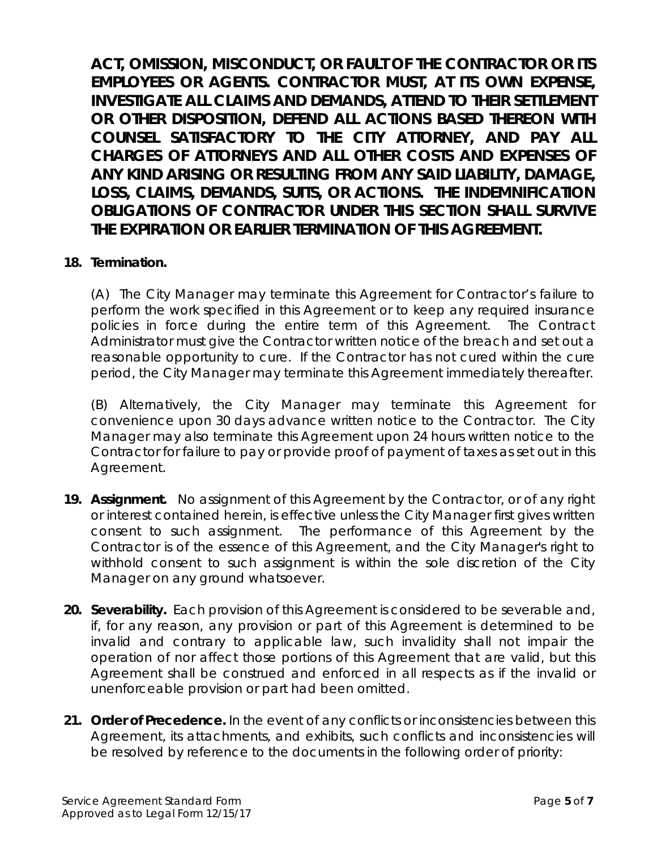*ACT, OMISSION, MISCONDUCT, OR FAULT OF THE CONTRACTOR OR ITS EMPLOYEES OR AGENTS. CONTRACTOR MUST, AT ITS OWN EXPENSE, INVESTIGATE ALL CLAIMS AND DEMANDS, ATTEND TO THEIR SETTLEMENT OR OTHER DISPOSITION, DEFEND ALL ACTIONS BASED THEREON WITH COUNSEL SATISFACTORY TO THE CITY ATTORNEY, AND PAY ALL CHARGES OF ATTORNEYS AND ALL OTHER COSTS AND EXPENSES OF ANY KIND ARISING OR RESULTING FROM ANY SAID LIABILITY, DAMAGE, LOSS, CLAIMS, DEMANDS, SUITS, OR ACTIONS. THE INDEMNIFICATION OBLIGATIONS OF CONTRACTOR UNDER THIS SECTION SHALL SURVIVE THE EXPIRATION OR EARLIER TERMINATION OF THIS AGREEMENT.*

## **18. Termination.**

(A) The City Manager may terminate this Agreement for Contractor's failure to perform the work specified in this Agreement or to keep any required insurance policies in force during the entire term of this Agreement. The Contract Administrator must give the Contractor written notice of the breach and set out a reasonable opportunity to cure. If the Contractor has not cured within the cure period, the City Manager may terminate this Agreement immediately thereafter.

(B) Alternatively, the City Manager may terminate this Agreement for convenience upon 30 days advance written notice to the Contractor. The City Manager may also terminate this Agreement upon 24 hours written notice to the Contractor for failure to pay or provide proof of payment of taxes as set out in this Agreement.

- **19. Assignment.** No assignment of this Agreement by the Contractor, or of any right or interest contained herein, is effective unless the City Manager first gives written consent to such assignment. The performance of this Agreement by the Contractor is of the essence of this Agreement, and the City Manager's right to withhold consent to such assignment is within the sole discretion of the City Manager on any ground whatsoever.
- **20. Severability.** Each provision of this Agreement is considered to be severable and, if, for any reason, any provision or part of this Agreement is determined to be invalid and contrary to applicable law, such invalidity shall not impair the operation of nor affect those portions of this Agreement that are valid, but this Agreement shall be construed and enforced in all respects as if the invalid or unenforceable provision or part had been omitted.
- **21. Order of Precedence.** In the event of any conflicts or inconsistencies between this Agreement, its attachments, and exhibits, such conflicts and inconsistencies will be resolved by reference to the documents in the following order of priority: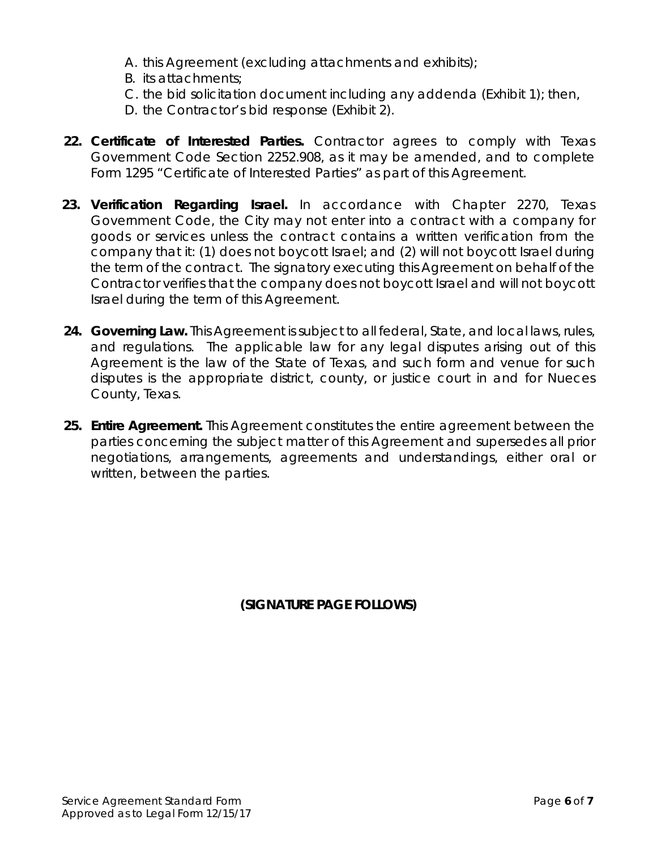- A. this Agreement (excluding attachments and exhibits);
- B. its attachments;
- C. the bid solicitation document including any addenda (Exhibit 1); then,
- D. the Contractor's bid response (Exhibit 2).
- **22. Certificate of Interested Parties.** Contractor agrees to comply with Texas Government Code Section 2252.908, as it may be amended, and to complete Form 1295 "Certificate of Interested Parties" as part of this Agreement.
- **23. Verification Regarding Israel.** In accordance with Chapter 2270, Texas Government Code, the City may not enter into a contract with a company for goods or services unless the contract contains a written verification from the company that it: (1) does not boycott Israel; and (2) will not boycott Israel during the term of the contract. The signatory executing this Agreement on behalf of the Contractor verifies that the company does not boycott Israel and will not boycott Israel during the term of this Agreement.
- **24. Governing Law.** This Agreement is subject to all federal, State, and local laws, rules, and regulations. The applicable law for any legal disputes arising out of this Agreement is the law of the State of Texas, and such form and venue for such disputes is the appropriate district, county, or justice court in and for Nueces County, Texas.
- **25. Entire Agreement.** This Agreement constitutes the entire agreement between the parties concerning the subject matter of this Agreement and supersedes all prior negotiations, arrangements, agreements and understandings, either oral or written, between the parties.

**(SIGNATURE PAGE FOLLOWS)**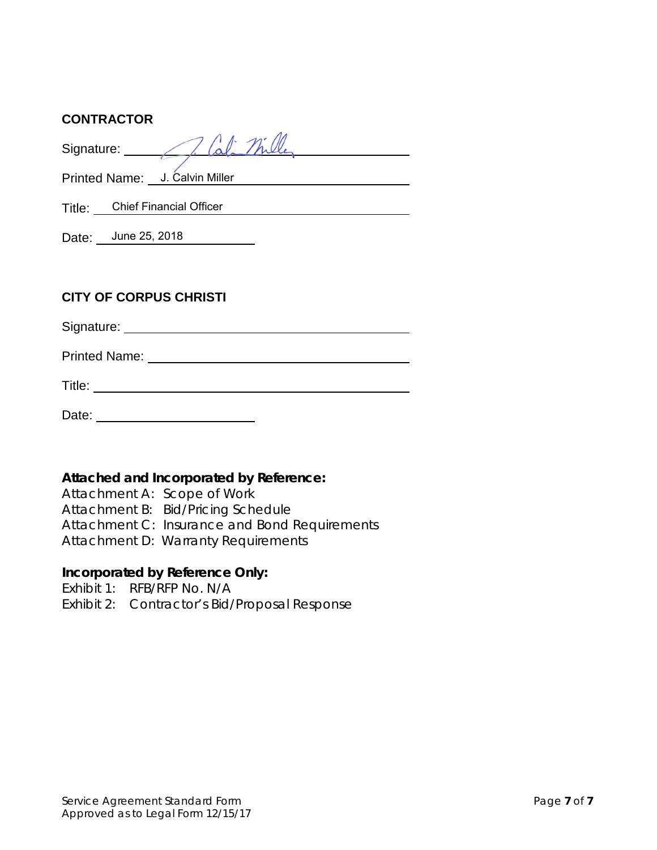### **CONTRACTOR**

Signature: Printed Name: U. Calvin Miller Title: Chief Financial Officer Date: June 25, 2018 **CITY OF CORPUS CHRISTI**

Signature:

Printed Name: We have a state of the state of the state of the state of the state of the state of the state of the state of the state of the state of the state of the state of the state of the state of the state of the sta

Title: **The Community of the Community of the Community** of the Community of the Community of the Community of the Community of the Community of the Community of the Community of the Community of the Community of the Commu

Date: **Date: Date: Date: Date: Date: Date: Date: Date: Date: Date: Date: Date: Date: Date: Date: Date: Date: Date: Date: Date: Date: Date: Date: Date: Date: Date: Date:**

## **Attached and Incorporated by Reference:**

Attachment A: Scope of Work Attachment B: Bid/Pricing Schedule Attachment C: Insurance and Bond Requirements Attachment D: Warranty Requirements

## **Incorporated by Reference Only:**

Exhibit 1: RFB/RFP No. N/A Exhibit 2: Contractor's Bid/Proposal Response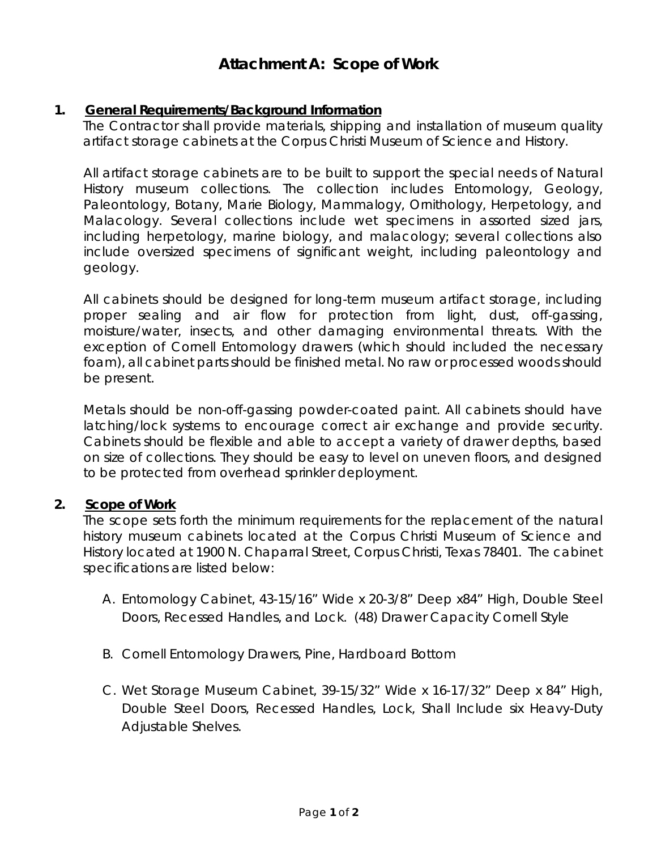# **Attachment A: Scope of Work**

### **1. General Requirements/Background Information**

The Contractor shall provide materials, shipping and installation of museum quality artifact storage cabinets at the Corpus Christi Museum of Science and History.

All artifact storage cabinets are to be built to support the special needs of Natural History museum collections. The collection includes Entomology, Geology, Paleontology, Botany, Marie Biology, Mammalogy, Ornithology, Herpetology, and Malacology. Several collections include wet specimens in assorted sized jars, including herpetology, marine biology, and malacology; several collections also include oversized specimens of significant weight, including paleontology and geology.

All cabinets should be designed for long-term museum artifact storage, including proper sealing and air flow for protection from light, dust, off-gassing, moisture/water, insects, and other damaging environmental threats. With the exception of Cornell Entomology drawers (which should included the necessary foam), all cabinet parts should be finished metal. No raw or processed woods should be present.

Metals should be non-off-gassing powder-coated paint. All cabinets should have latching/lock systems to encourage correct air exchange and provide security. Cabinets should be flexible and able to accept a variety of drawer depths, based on size of collections. They should be easy to level on uneven floors, and designed to be protected from overhead sprinkler deployment.

### **2. Scope of Work**

The scope sets forth the minimum requirements for the replacement of the natural history museum cabinets located at the Corpus Christi Museum of Science and History located at 1900 N. Chaparral Street, Corpus Christi, Texas 78401. The cabinet specifications are listed below:

- A. Entomology Cabinet, 43-15/16" Wide x 20-3/8" Deep x84" High, Double Steel Doors, Recessed Handles, and Lock. (48) Drawer Capacity Cornell Style
- B. Cornell Entomology Drawers, Pine, Hardboard Bottom
- C. Wet Storage Museum Cabinet, 39-15/32" Wide x 16-17/32" Deep x 84" High, Double Steel Doors, Recessed Handles, Lock, Shall Include six Heavy-Duty Adjustable Shelves.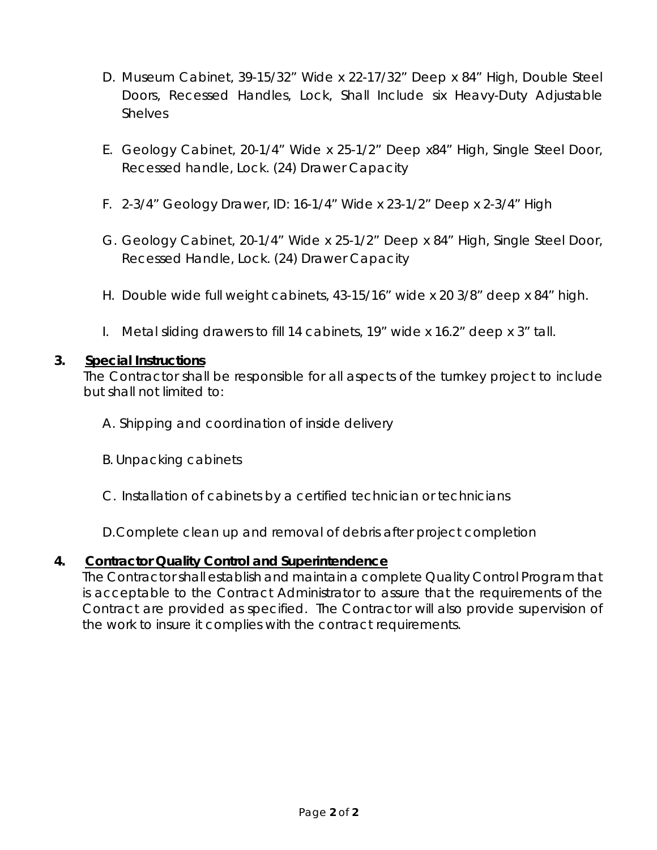- D. Museum Cabinet, 39-15/32" Wide x 22-17/32" Deep x 84" High, Double Steel Doors, Recessed Handles, Lock, Shall Include six Heavy-Duty Adjustable **Shelves**
- E. Geology Cabinet, 20-1/4" Wide x 25-1/2" Deep x84" High, Single Steel Door, Recessed handle, Lock. (24) Drawer Capacity
- F. 2-3/4" Geology Drawer, ID: 16-1/4" Wide x 23-1/2" Deep x 2-3/4" High
- G. Geology Cabinet, 20-1/4" Wide x 25-1/2" Deep x 84" High, Single Steel Door, Recessed Handle, Lock. (24) Drawer Capacity
- H. Double wide full weight cabinets, 43-15/16" wide x 20 3/8" deep x 84" high.
- I. Metal sliding drawers to fill 14 cabinets, 19" wide x 16.2" deep x 3" tall.

### **3. Special Instructions**

The Contractor shall be responsible for all aspects of the turnkey project to include but shall not limited to:

- A. Shipping and coordination of inside delivery
- B. Unpacking cabinets
- C. Installation of cabinets by a certified technician or technicians

D.Complete clean up and removal of debris after project completion

## **4. Contractor Quality Control and Superintendence**

The Contractor shall establish and maintain a complete Quality Control Program that is acceptable to the Contract Administrator to assure that the requirements of the Contract are provided as specified. The Contractor will also provide supervision of the work to insure it complies with the contract requirements.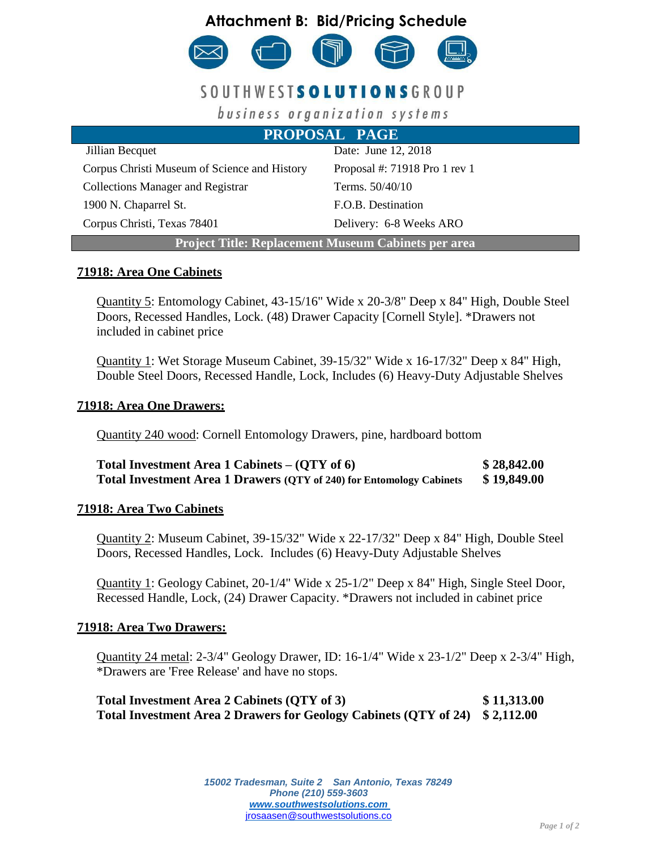

# SOUTHWESTS OLUTIONSGROUP

business organization systems

| <b>PROPOSAL PAGE</b>                                       |                               |  |
|------------------------------------------------------------|-------------------------------|--|
| Jillian Becquet                                            | Date: June 12, 2018           |  |
| Corpus Christi Museum of Science and History               | Proposal #: 71918 Pro 1 rev 1 |  |
| <b>Collections Manager and Registrar</b>                   | Terms. 50/40/10               |  |
| 1900 N. Chaparrel St.                                      | F.O.B. Destination            |  |
| Corpus Christi, Texas 78401                                | Delivery: 6-8 Weeks ARO       |  |
| <b>Project Title: Replacement Museum Cabinets per area</b> |                               |  |

#### **71918: Area One Cabinets**

Quantity 5: Entomology Cabinet, 43-15/16" Wide x 20-3/8" Deep x 84" High, Double Steel Doors, Recessed Handles, Lock. (48) Drawer Capacity [Cornell Style]. \*Drawers not included in cabinet price

Quantity 1: Wet Storage Museum Cabinet, 39-15/32" Wide x 16-17/32" Deep x 84" High, Double Steel Doors, Recessed Handle, Lock, Includes (6) Heavy-Duty Adjustable Shelves

#### **71918: Area One Drawers:**

Quantity 240 wood: Cornell Entomology Drawers, pine, hardboard bottom

| Total Investment Area 1 Cabinets $-$ (QTY of 6)                      | \$28,842.00 |
|----------------------------------------------------------------------|-------------|
| Total Investment Area 1 Drawers (QTY of 240) for Entomology Cabinets | \$19,849.00 |

#### **71918: Area Two Cabinets**

Quantity 2: Museum Cabinet, 39-15/32" Wide x 22-17/32" Deep x 84" High, Double Steel Doors, Recessed Handles, Lock. Includes (6) Heavy-Duty Adjustable Shelves

Quantity 1: Geology Cabinet, 20-1/4" Wide x 25-1/2" Deep x 84" High, Single Steel Door, Recessed Handle, Lock, (24) Drawer Capacity. \*Drawers not included in cabinet price

#### **71918: Area Two Drawers:**

Quantity 24 metal: 2-3/4" Geology Drawer, ID: 16-1/4" Wide x 23-1/2" Deep x 2-3/4" High, \*Drawers are 'Free Release' and have no stops.

**Total Investment Area 2 Cabinets (QTY of 3) \$ 11,313.00 Total Investment Area 2 Drawers for Geology Cabinets (QTY of 24) \$ 2,112.00**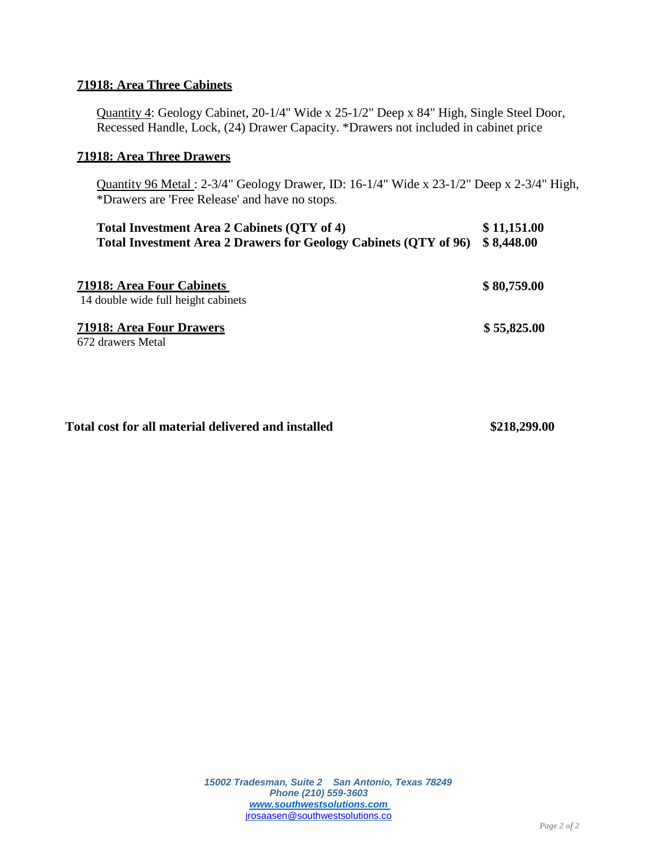#### **71918: Area Three Cabinets**

Quantity 4: Geology Cabinet, 20-1/4" Wide x 25-1/2" Deep x 84" High, Single Steel Door, Recessed Handle, Lock, (24) Drawer Capacity. \*Drawers not included in cabinet price

#### **71918: Area Three Drawers**

Quantity 96 Metal : 2-3/4" Geology Drawer, ID: 16-1/4" Wide x 23-1/2" Deep x 2-3/4" High, \*Drawers are 'Free Release' and have no stops.

| Total Investment Area 2 Cabinets (QTY of 4)                                 | \$11,151.00 |
|-----------------------------------------------------------------------------|-------------|
| Total Investment Area 2 Drawers for Geology Cabinets (QTY of 96) \$8,448.00 |             |

| 71918: Area Four Cabinets<br>14 double wide full height cabinets | \$80,759.00 |
|------------------------------------------------------------------|-------------|
| <b>71918: Area Four Drawers</b><br>672 drawers Metal             | \$55,825.00 |

#### **Total cost for all material delivered and installed \$218,299.00**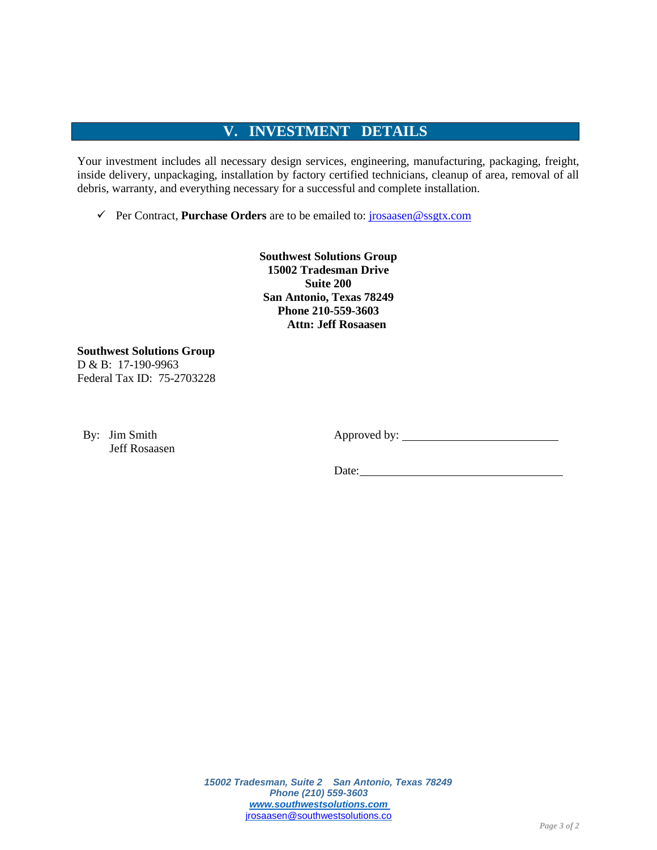## **V. INVESTMENT DETAILS**

Your investment includes all necessary design services, engineering, manufacturing, packaging, freight, inside delivery, unpackaging, installation by factory certified technicians, cleanup of area, removal of all debris, warranty, and everything necessary for a successful and complete installation.

✓ Per Contract, **Purchase Orders** are to be emailed to: [jrosaasen@ssgtx.com](mailto:jrosaasen@ssgtx.com)

**Southwest Solutions Group 15002 Tradesman Drive Suite 200 San Antonio, Texas 78249 Phone 210-559-3603 Attn: Jeff Rosaasen**

**Southwest Solutions Group** D & B: 17-190-9963 Federal Tax ID: 75-2703228

By: Jim Smith Jeff Rosaasen Approved by:

Date: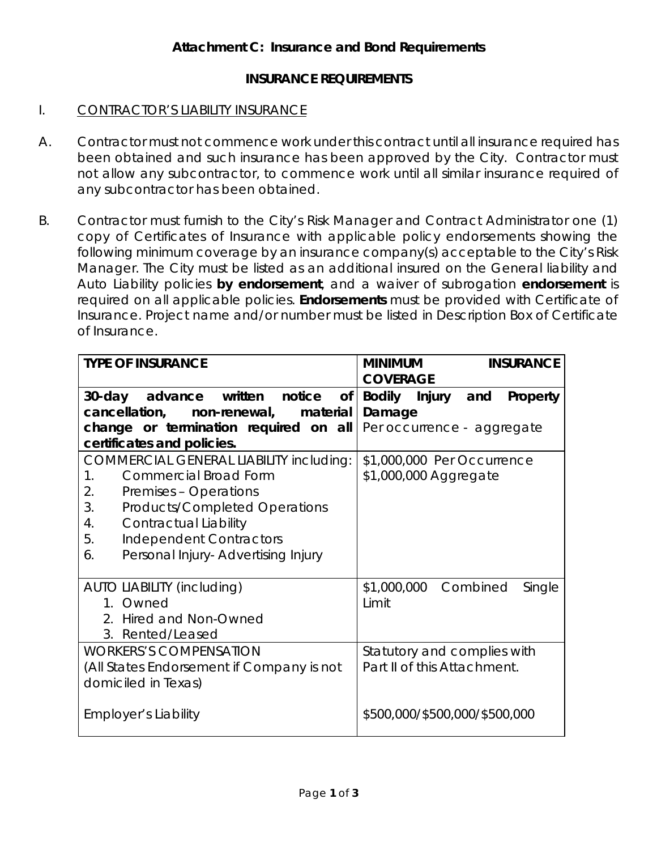## **INSURANCE REQUIREMENTS**

## I. CONTRACTOR'S LIABILITY INSURANCE

- A. Contractor must not commence work under this contract until all insurance required has been obtained and such insurance has been approved by the City. Contractor must not allow any subcontractor, to commence work until all similar insurance required of any subcontractor has been obtained.
- B. Contractor must furnish to the City's Risk Manager and Contract Administrator one (1) copy of Certificates of Insurance with applicable policy endorsements showing the following minimum coverage by an insurance company(s) acceptable to the City's Risk Manager. The City must be listed as an additional insured on the General liability and Auto Liability policies **by endorsement**, and a waiver of subrogation **endorsement** is required on all applicable policies. **Endorsements** must be provided with Certificate of Insurance. Project name and/or number must be listed in Description Box of Certificate of Insurance.

| <b>TYPE OF INSURANCE</b>                            | <b>MINIMUM</b><br><b>INSURANCE</b> |
|-----------------------------------------------------|------------------------------------|
|                                                     | <b>COVERAGE</b>                    |
| advance written notice<br>of <sub>l</sub><br>30-day | Bodily Injury and<br>Property      |
| cancellation,<br>non-renewal,<br>material           | Damage                             |
| change or termination required on all               | Per occurrence - aggregate         |
| certificates and policies.                          |                                    |
| <b>COMMERCIAL GENERAL LIABILITY including:</b>      | \$1,000,000 Per Occurrence         |
| <b>Commercial Broad Form</b><br>$1_{.}$             | \$1,000,000 Aggregate              |
| 2.<br>Premises - Operations                         |                                    |
| 3.<br>Products/Completed Operations                 |                                    |
| 4.<br>Contractual Liability                         |                                    |
| 5.<br>Independent Contractors                       |                                    |
| Personal Injury-Advertising Injury<br>6.            |                                    |
|                                                     |                                    |
| AUTO LIABILITY (including)                          | \$1,000,000 Combined<br>Single     |
| 1. Owned                                            | Limit                              |
| 2. Hired and Non-Owned                              |                                    |
| 3. Rented/Leased                                    |                                    |
| <b>WORKERS'S COMPENSATION</b>                       | Statutory and complies with        |
| (All States Endorsement if Company is not           | Part II of this Attachment.        |
| domiciled in Texas)                                 |                                    |
|                                                     |                                    |
| <b>Employer's Liability</b>                         | \$500,000/\$500,000/\$500,000      |
|                                                     |                                    |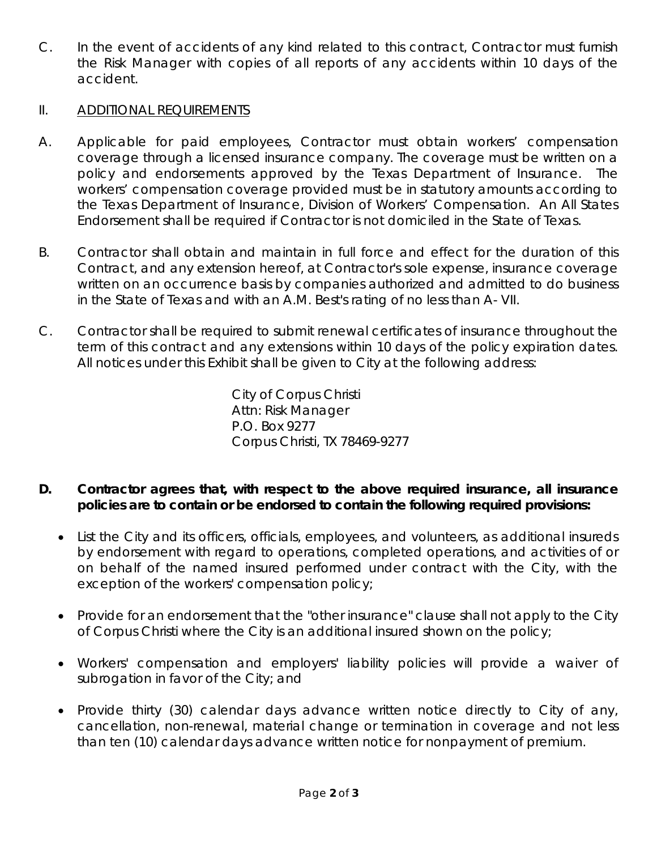C. In the event of accidents of any kind related to this contract, Contractor must furnish the Risk Manager with copies of all reports of any accidents within 10 days of the accident.

## II. ADDITIONAL REQUIREMENTS

- A. Applicable for paid employees, Contractor must obtain workers' compensation coverage through a licensed insurance company. The coverage must be written on a policy and endorsements approved by the Texas Department of Insurance. The workers' compensation coverage provided must be in statutory amounts according to the Texas Department of Insurance, Division of Workers' Compensation. An All States Endorsement shall be required if Contractor is not domiciled in the State of Texas.
- B. Contractor shall obtain and maintain in full force and effect for the duration of this Contract, and any extension hereof, at Contractor's sole expense, insurance coverage written on an occurrence basis by companies authorized and admitted to do business in the State of Texas and with an A.M. Best's rating of no less than A- VII.
- C. Contractor shall be required to submit renewal certificates of insurance throughout the term of this contract and any extensions within 10 days of the policy expiration dates. All notices under this Exhibit shall be given to City at the following address:

City of Corpus Christi Attn: Risk Manager P.O. Box 9277 Corpus Christi, TX 78469-9277

- **D. Contractor agrees that, with respect to the above required insurance, all insurance policies are to contain or be endorsed to contain the following required provisions:**
	- List the City and its officers, officials, employees, and volunteers, as additional insureds by endorsement with regard to operations, completed operations, and activities of or on behalf of the named insured performed under contract with the City, with the exception of the workers' compensation policy;
	- Provide for an endorsement that the "other insurance" clause shall not apply to the City of Corpus Christi where the City is an additional insured shown on the policy;
	- Workers' compensation and employers' liability policies will provide a waiver of subrogation in favor of the City; and
	- Provide thirty (30) calendar days advance written notice directly to City of any, cancellation, non-renewal, material change or termination in coverage and not less than ten (10) calendar days advance written notice for nonpayment of premium.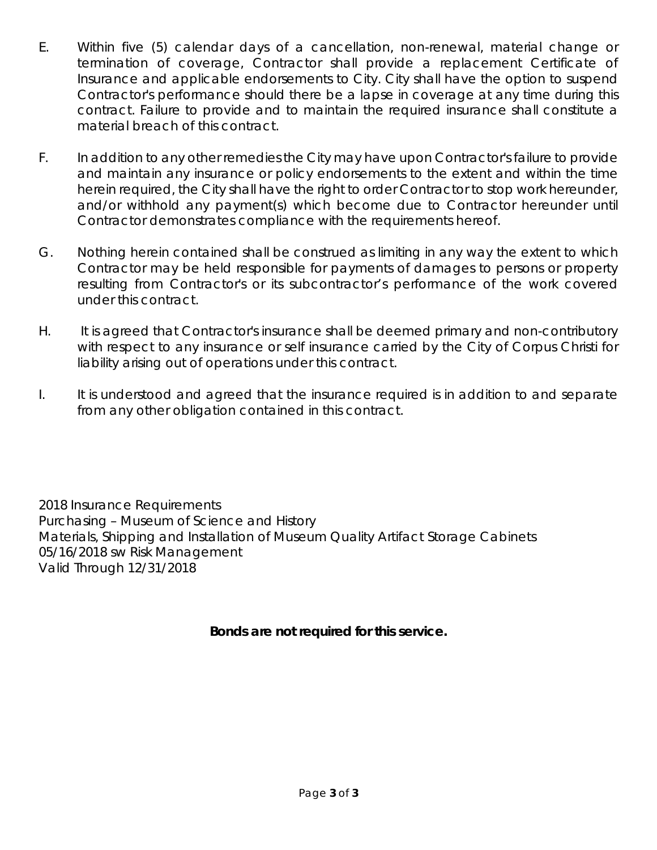- E. Within five (5) calendar days of a cancellation, non-renewal, material change or termination of coverage, Contractor shall provide a replacement Certificate of Insurance and applicable endorsements to City. City shall have the option to suspend Contractor's performance should there be a lapse in coverage at any time during this contract. Failure to provide and to maintain the required insurance shall constitute a material breach of this contract.
- F. In addition to any other remedies the City may have upon Contractor's failure to provide and maintain any insurance or policy endorsements to the extent and within the time herein required, the City shall have the right to order Contractor to stop work hereunder, and/or withhold any payment(s) which become due to Contractor hereunder until Contractor demonstrates compliance with the requirements hereof.
- G. Nothing herein contained shall be construed as limiting in any way the extent to which Contractor may be held responsible for payments of damages to persons or property resulting from Contractor's or its subcontractor's performance of the work covered under this contract.
- H. It is agreed that Contractor's insurance shall be deemed primary and non-contributory with respect to any insurance or self insurance carried by the City of Corpus Christi for liability arising out of operations under this contract.
- I. It is understood and agreed that the insurance required is in addition to and separate from any other obligation contained in this contract.

2018 Insurance Requirements Purchasing – Museum of Science and History Materials, Shipping and Installation of Museum Quality Artifact Storage Cabinets 05/16/2018 sw Risk Management Valid Through 12/31/2018

## **Bonds are not required for this service.**